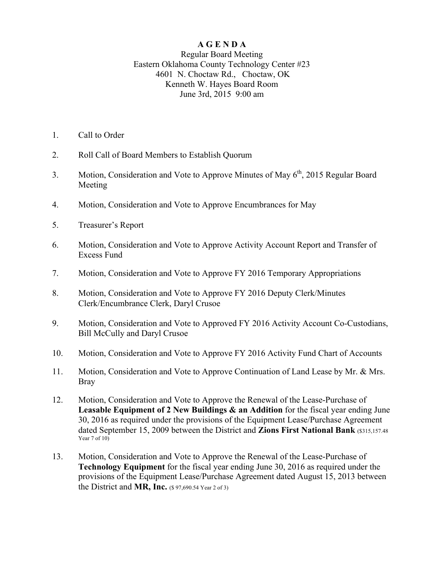## **A G E N D A**

## Regular Board Meeting Eastern Oklahoma County Technology Center #23 4601 N. Choctaw Rd., Choctaw, OK Kenneth W. Hayes Board Room June 3rd, 2015 9:00 am

- 1. Call to Order
- 2. Roll Call of Board Members to Establish Quorum
- 3. Motion, Consideration and Vote to Approve Minutes of May  $6<sup>th</sup>$ , 2015 Regular Board Meeting
- 4. Motion, Consideration and Vote to Approve Encumbrances for May
- 5. Treasurer's Report
- 6. Motion, Consideration and Vote to Approve Activity Account Report and Transfer of Excess Fund
- 7. Motion, Consideration and Vote to Approve FY 2016 Temporary Appropriations
- 8. Motion, Consideration and Vote to Approve FY 2016 Deputy Clerk/Minutes Clerk/Encumbrance Clerk, Daryl Crusoe
- 9. Motion, Consideration and Vote to Approved FY 2016 Activity Account Co-Custodians, Bill McCully and Daryl Crusoe
- 10. Motion, Consideration and Vote to Approve FY 2016 Activity Fund Chart of Accounts
- 11. Motion, Consideration and Vote to Approve Continuation of Land Lease by Mr. & Mrs. Bray
- 12. Motion, Consideration and Vote to Approve the Renewal of the Lease-Purchase of **Leasable Equipment of 2 New Buildings & an Addition** for the fiscal year ending June 30, 2016 as required under the provisions of the Equipment Lease/Purchase Agreement dated September 15, 2009 between the District and **Zions First National Bank** (\$315,157.48) Year  $7$  of  $10$ )
- 13. Motion, Consideration and Vote to Approve the Renewal of the Lease-Purchase of **Technology Equipment** for the fiscal year ending June 30, 2016 as required under the provisions of the Equipment Lease/Purchase Agreement dated August 15, 2013 between the District and **MR, Inc.** (\$ 97,690.54 Year 2 of 3)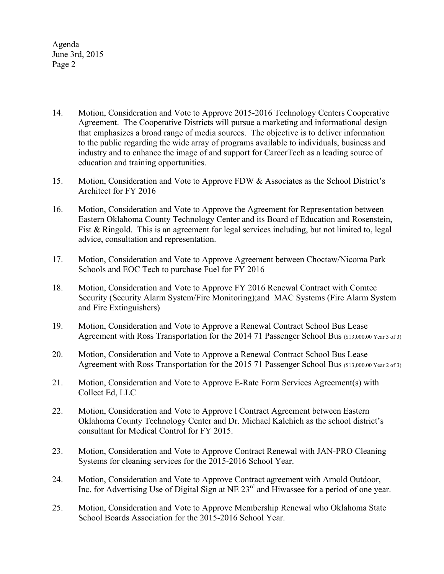Agenda June 3rd, 2015 Page 2

- 14. Motion, Consideration and Vote to Approve 2015-2016 Technology Centers Cooperative Agreement. The Cooperative Districts will pursue a marketing and informational design that emphasizes a broad range of media sources. The objective is to deliver information to the public regarding the wide array of programs available to individuals, business and industry and to enhance the image of and support for CareerTech as a leading source of education and training opportunities.
- 15. Motion, Consideration and Vote to Approve FDW & Associates as the School District's Architect for FY 2016
- 16. Motion, Consideration and Vote to Approve the Agreement for Representation between Eastern Oklahoma County Technology Center and its Board of Education and Rosenstein, Fist & Ringold. This is an agreement for legal services including, but not limited to, legal advice, consultation and representation.
- 17. Motion, Consideration and Vote to Approve Agreement between Choctaw/Nicoma Park Schools and EOC Tech to purchase Fuel for FY 2016
- 18. Motion, Consideration and Vote to Approve FY 2016 Renewal Contract with Comtec Security (Security Alarm System/Fire Monitoring);and MAC Systems (Fire Alarm System and Fire Extinguishers)
- 19. Motion, Consideration and Vote to Approve a Renewal Contract School Bus Lease Agreement with Ross Transportation for the 2014 71 Passenger School Bus (\$13,000.00 Year 3 of 3)
- 20. Motion, Consideration and Vote to Approve a Renewal Contract School Bus Lease Agreement with Ross Transportation for the 2015 71 Passenger School Bus (\$13,000.00 Year 2 of 3)
- 21. Motion, Consideration and Vote to Approve E-Rate Form Services Agreement(s) with Collect Ed, LLC
- 22. Motion, Consideration and Vote to Approve l Contract Agreement between Eastern Oklahoma County Technology Center and Dr. Michael Kalchich as the school district's consultant for Medical Control for FY 2015.
- 23. Motion, Consideration and Vote to Approve Contract Renewal with JAN-PRO Cleaning Systems for cleaning services for the 2015-2016 School Year.
- 24. Motion, Consideration and Vote to Approve Contract agreement with Arnold Outdoor, Inc. for Advertising Use of Digital Sign at NE 23<sup>rd</sup> and Hiwassee for a period of one year.
- 25. Motion, Consideration and Vote to Approve Membership Renewal who Oklahoma State School Boards Association for the 2015-2016 School Year.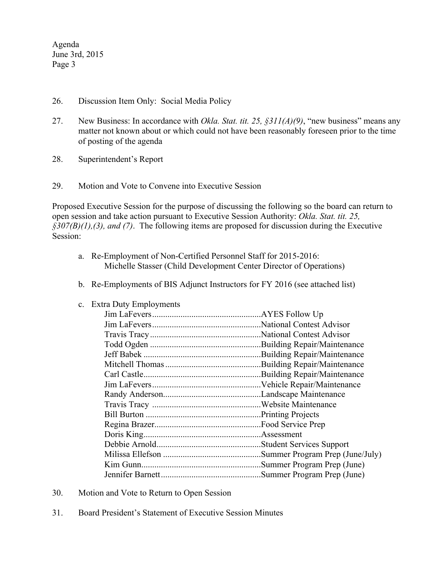Agenda June 3rd, 2015 Page 3

- 26. Discussion Item Only: Social Media Policy
- 27. New Business: In accordance with *Okla. Stat. tit. 25, §311(A)(9)*, "new business" means any matter not known about or which could not have been reasonably foreseen prior to the time of posting of the agenda
- 28. Superintendent's Report
- 29. Motion and Vote to Convene into Executive Session

Proposed Executive Session for the purpose of discussing the following so the board can return to open session and take action pursuant to Executive Session Authority: *Okla. Stat. tit. 25, §307(B)(1),(3), and (7)*. The following items are proposed for discussion during the Executive Session:

- a. Re-Employment of Non-Certified Personnel Staff for 2015-2016: Michelle Stasser (Child Development Center Director of Operations)
- b. Re-Employments of BIS Adjunct Instructors for FY 2016 (see attached list)
- c. Extra Duty Employments

- 30. Motion and Vote to Return to Open Session
- 31. Board President's Statement of Executive Session Minutes